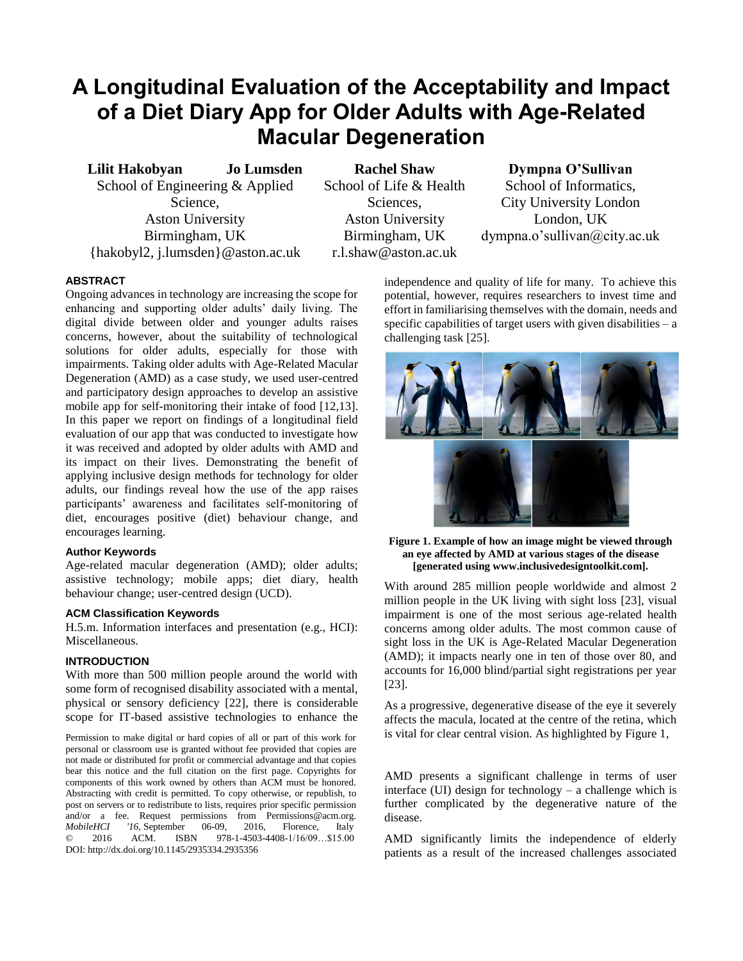# **A Longitudinal Evaluation of the Acceptability and Impact of a Diet Diary App for Older Adults with Age-Related Macular Degeneration**

**Lilit Hakobyan Jo Lumsden**  School of Engineering & Applied Science, Aston University Birmingham, UK {hakobyl2, j.lumsden}@aston.ac.uk

**Rachel Shaw**  School of Life & Health Sciences, Aston University Birmingham, UK [r.l.shaw@aston.ac.uk](mailto:r.l.shaw@aston.ac.uk)

**Dympna O'Sullivan**  School of Informatics, City University London London, UK dympna.o'sullivan@city.ac.uk

## **ABSTRACT**

Ongoing advances in technology are increasing the scope for enhancing and supporting older adults' daily living. The digital divide between older and younger adults raises concerns, however, about the suitability of technological solutions for older adults, especially for those with impairments. Taking older adults with Age-Related Macular Degeneration (AMD) as a case study, we used user-centred and participatory design approaches to develop an assistive mobile app for self-monitoring their intake of food [\[12](#page-10-0)[,13\]](#page-10-1). In this paper we report on findings of a longitudinal field evaluation of our app that was conducted to investigate how it was received and adopted by older adults with AMD and its impact on their lives. Demonstrating the benefit of applying inclusive design methods for technology for older adults, our findings reveal how the use of the app raises participants' awareness and facilitates self-monitoring of diet, encourages positive (diet) behaviour change, and encourages learning.

#### **Author Keywords**

Age-related macular degeneration (AMD); older adults; assistive technology; mobile apps; diet diary, health behaviour change; user-centred design (UCD).

## **ACM Classification Keywords**

H.5.m. Information interfaces and presentation (e.g., HCI): Miscellaneous.

# **INTRODUCTION**

With more than 500 million people around the world with some form of recognised disability associated with a mental, physical or sensory deficiency [\[22\]](#page-10-2), there is considerable scope for IT-based assistive technologies to enhance the

Permission to make digital or hard copies of all or part of this work for personal or classroom use is granted without fee provided that copies are not made or distributed for profit or commercial advantage and that copies bear this notice and the full citation on the first page. Copyrights for components of this work owned by others than ACM must be honored. Abstracting with credit is permitted. To copy otherwise, or republish, to post on servers or to redistribute to lists, requires prior specific permission and/or a fee. Request permissions from Permissions@acm.org.<br> *MobileHCI* '16 September 06-09, 2016, Florence, Italy *'16*, September 06-09, 2016, Florence, Italy © 2016 ACM. ISBN 978-1-4503-4408-1/16/09…\$15.00 DOI: http://dx.doi.org/10.1145/2935334.2935356

independence and quality of life for many. To achieve this potential, however, requires researchers to invest time and effort in familiarising themselves with the domain, needs and specific capabilities of target users with given disabilities  $-$  a challenging task [\[25\]](#page-10-3).



#### **Figure 1. Example of how an image might be viewed through an eye affected by AMD at various stages of the disease [generated using www.inclusivedesigntoolkit.com].**

With around 285 million people worldwide and almost 2 million people in the UK living with sight loss [\[23\]](#page-10-4), visual impairment is one of the most serious age-related health concerns among older adults. The most common cause of sight loss in the UK is Age-Related Macular Degeneration (AMD); it impacts nearly one in ten of those over 80, and accounts for 16,000 blind/partial sight registrations per year [\[23\]](#page-10-4).

As a progressive, degenerative disease of the eye it severely affects the macula, located at the centre of the retina, which is vital for clear central vision. As highlighted by Figure 1,

AMD presents a significant challenge in terms of user interface (UI) design for technology – a challenge which is further complicated by the degenerative nature of the disease.

AMD significantly limits the independence of elderly patients as a result of the increased challenges associated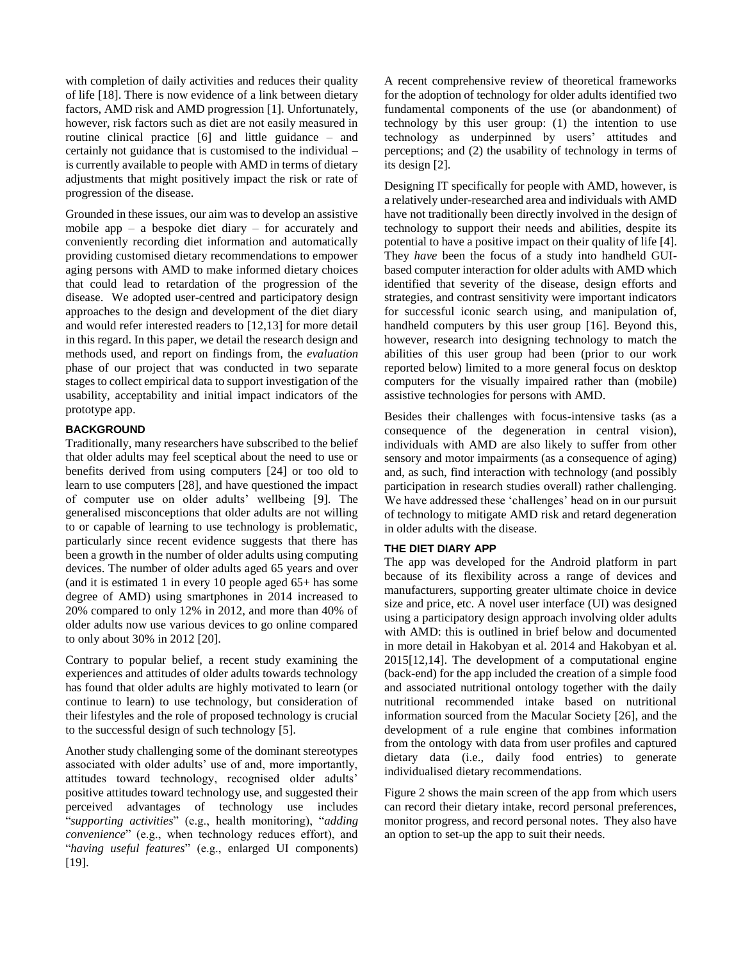with completion of daily activities and reduces their quality of life [\[18\]](#page-10-5). There is now evidence of a link between dietary factors, AMD risk and AMD progression [\[1\]](#page-9-0). Unfortunately, however, risk factors such as diet are not easily measured in routine clinical practice [\[6\]](#page-9-1) and little guidance – and certainly not guidance that is customised to the individual – is currently available to people with AMD in terms of dietary adjustments that might positively impact the risk or rate of progression of the disease.

Grounded in these issues, our aim was to develop an assistive mobile app – a bespoke diet diary – for accurately and conveniently recording diet information and automatically providing customised dietary recommendations to empower aging persons with AMD to make informed dietary choices that could lead to retardation of the progression of the disease. We adopted user-centred and participatory design approaches to the design and development of the diet diary and would refer interested readers to [\[12](#page-10-0)[,13\]](#page-10-1) for more detail in this regard. In this paper, we detail the research design and methods used, and report on findings from, the *evaluation* phase of our project that was conducted in two separate stages to collect empirical data to support investigation of the usability, acceptability and initial impact indicators of the prototype app.

# **BACKGROUND**

Traditionally, many researchers have subscribed to the belief that older adults may feel sceptical about the need to use or benefits derived from using computers [\[24\]](#page-10-6) or too old to learn to use computers [\[28\]](#page-10-7), and have questioned the impact of computer use on older adults' wellbeing [\[9\]](#page-9-2). The generalised misconceptions that older adults are not willing to or capable of learning to use technology is problematic, particularly since recent evidence suggests that there has been a growth in the number of older adults using computing devices. The number of older adults aged 65 years and over (and it is estimated 1 in every 10 people aged 65+ has some degree of AMD) using smartphones in 2014 increased to 20% compared to only 12% in 2012, and more than 40% of older adults now use various devices to go online compared to only about 30% in 2012 [\[20\]](#page-10-8).

Contrary to popular belief, a recent study examining the experiences and attitudes of older adults towards technology has found that older adults are highly motivated to learn (or continue to learn) to use technology, but consideration of their lifestyles and the role of proposed technology is crucial to the successful design of such technology [\[5\]](#page-9-3).

Another study challenging some of the dominant stereotypes associated with older adults' use of and, more importantly, attitudes toward technology, recognised older adults' positive attitudes toward technology use, and suggested their perceived advantages of technology use includes "*supporting activities*" (e.g., health monitoring), "*adding convenience*" (e.g., when technology reduces effort), and "*having useful features*" (e.g., enlarged UI components) [\[19\]](#page-10-9).

A recent comprehensive review of theoretical frameworks for the adoption of technology for older adults identified two fundamental components of the use (or abandonment) of technology by this user group: (1) the intention to use technology as underpinned by users' attitudes and perceptions; and (2) the usability of technology in terms of its design [\[2\]](#page-9-4).

Designing IT specifically for people with AMD, however, is a relatively under-researched area and individuals with AMD have not traditionally been directly involved in the design of technology to support their needs and abilities, despite its potential to have a positive impact on their quality of life [\[4\]](#page-9-5). They *have* been the focus of a study into handheld GUIbased computer interaction for older adults with AMD which identified that severity of the disease, design efforts and strategies, and contrast sensitivity were important indicators for successful iconic search using, and manipulation of, handheld computers by this user group [\[16\]](#page-10-10). Beyond this, however, research into designing technology to match the abilities of this user group had been (prior to our work reported below) limited to a more general focus on desktop computers for the visually impaired rather than (mobile) assistive technologies for persons with AMD.

Besides their challenges with focus-intensive tasks (as a consequence of the degeneration in central vision), individuals with AMD are also likely to suffer from other sensory and motor impairments (as a consequence of aging) and, as such, find interaction with technology (and possibly participation in research studies overall) rather challenging. We have addressed these 'challenges' head on in our pursuit of technology to mitigate AMD risk and retard degeneration in older adults with the disease.

## **THE DIET DIARY APP**

The app was developed for the Android platform in part because of its flexibility across a range of devices and manufacturers, supporting greater ultimate choice in device size and price, etc. A novel user interface (UI) was designed using a participatory design approach involving older adults with AMD: this is outlined in brief below and documented in more detail in Hakobyan et al. 2014 and Hakobyan et al. 2015[\[12](#page-10-0)[,14\]](#page-10-11). The development of a computational engine (back-end) for the app included the creation of a simple food and associated nutritional ontology together with the daily nutritional recommended intake based on nutritional information sourced from the Macular Society [\[26\]](#page-10-12), and the development of a rule engine that combines information from the ontology with data from user profiles and captured dietary data (i.e., daily food entries) to generate individualised dietary recommendations.

[Figure](#page-2-0) 2 shows the main screen of the app from which users can record their dietary intake, record personal preferences, monitor progress, and record personal notes. They also have an option to set-up the app to suit their needs.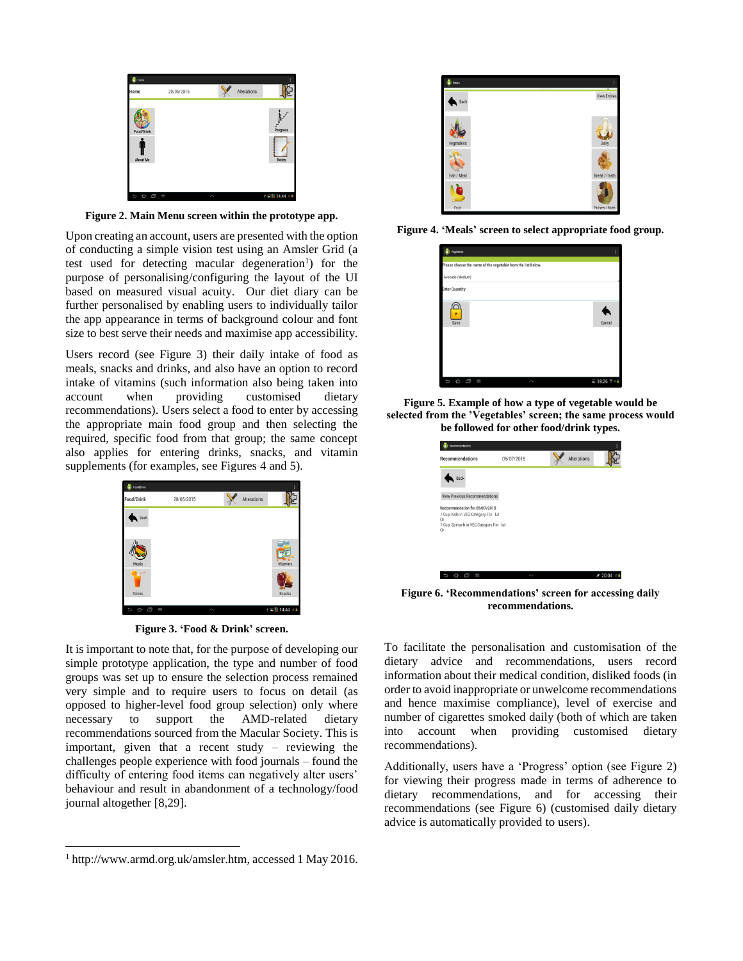

**Figure 2. Main Menu screen within the prototype app.**

<span id="page-2-0"></span>Upon creating an account, users are presented with the option of conducting a simple vision test using an Amsler Grid (a test used for detecting macular degeneration<sup>1</sup>) for the purpose of personalising/configuring the layout of the UI based on measured visual acuity. Our diet diary can be further personalised by enabling users to individually tailor the app appearance in terms of background colour and font size to best serve their needs and maximise app accessibility.

Users record (see Figure 3) their daily intake of food as meals, snacks and drinks, and also have an option to record intake of vitamins (such information also being taken into account when providing customised dietary recommendations). Users select a food to enter by accessing the appropriate main food group and then selecting the required, specific food from that group; the same concept also applies for entering drinks, snacks, and vitamin supplements (for examples, see Figures 4 and 5).

| Food&Drink |            |             |               |
|------------|------------|-------------|---------------|
| Food/Drink | 20/05/2015 | Alterations |               |
| Back       |            |             |               |
| Meals      |            |             | Vitamins      |
| Drinks     |            |             | Snacks        |
|            | Ш          | ∼           | ※回覧 14:44 × 8 |

**Figure 3. 'Food & Drink' screen.**

It is important to note that, for the purpose of developing our simple prototype application, the type and number of food groups was set up to ensure the selection process remained very simple and to require users to focus on detail (as opposed to higher-level food group selection) only where necessary to support the AMD-related dietary recommendations sourced from the Macular Society. This is important, given that a recent study – reviewing the challenges people experience with food journals – found the difficulty of entering food items can negatively alter users' behaviour and result in abandonment of a technology/food journal altogether [\[8,](#page-9-6)29].

l



**Figure 4. 'Meals' screen to select appropriate food group.**

| Vegetables                                                   | ŧ                             |  |  |  |  |  |  |  |
|--------------------------------------------------------------|-------------------------------|--|--|--|--|--|--|--|
| Please choose the name of the vegetable from the list below. |                               |  |  |  |  |  |  |  |
| Avocado (Medium)                                             |                               |  |  |  |  |  |  |  |
| <b>Enter Quantity</b>                                        |                               |  |  |  |  |  |  |  |
| Save                                                         | €<br>Cancel                   |  |  |  |  |  |  |  |
|                                                              |                               |  |  |  |  |  |  |  |
| ¢<br>≡<br>U<br>Ō<br>$\widehat{\phantom{a}}$                  | $\equiv$ 18:26 $\pi$ $\equiv$ |  |  |  |  |  |  |  |



| Recommendations                             | 05/07/2015 | Alterations |  |
|---------------------------------------------|------------|-------------|--|
| Back                                        |            |             |  |
| View Previous Recommendations               |            |             |  |
| Recommendation for 05/07/2015               |            |             |  |
| 1 Cup Kale in VEG Category.For lut<br>Or    |            |             |  |
| 1 Cup Spinach in VEG Category.For lut<br>Or |            |             |  |
|                                             |            |             |  |
|                                             |            |             |  |
|                                             |            |             |  |

**Figure 6. 'Recommendations' screen for accessing daily recommendations.**

To facilitate the personalisation and customisation of the dietary advice and recommendations, users record information about their medical condition, disliked foods (in order to avoid inappropriate or unwelcome recommendations and hence maximise compliance), level of exercise and number of cigarettes smoked daily (both of which are taken into account when providing customised dietary recommendations).

Additionally, users have a 'Progress' option (see Figure 2) for viewing their progress made in terms of adherence to dietary recommendations, and for accessing their recommendations (see Figure 6) (customised daily dietary advice is automatically provided to users).

<sup>1</sup> http://www.armd.org.uk/amsler.htm, accessed 1 May 2016.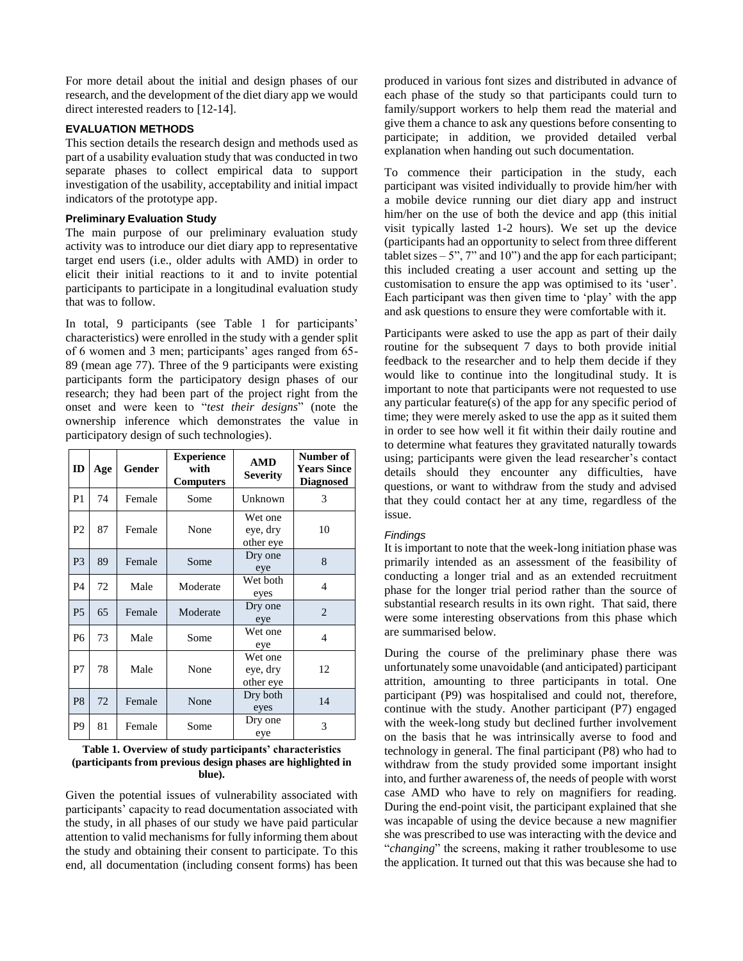For more detail about the initial and design phases of our research, and the development of the diet diary app we would direct interested readers to [\[12-14\]](#page-10-0).

# **EVALUATION METHODS**

This section details the research design and methods used as part of a usability evaluation study that was conducted in two separate phases to collect empirical data to support investigation of the usability, acceptability and initial impact indicators of the prototype app.

# **Preliminary Evaluation Study**

The main purpose of our preliminary evaluation study activity was to introduce our diet diary app to representative target end users (i.e., older adults with AMD) in order to elicit their initial reactions to it and to invite potential participants to participate in a longitudinal evaluation study that was to follow.

In total, 9 participants (see Table 1 for participants' characteristics) were enrolled in the study with a gender split of 6 women and 3 men; participants' ages ranged from 65- 89 (mean age 77). Three of the 9 participants were existing participants form the participatory design phases of our research; they had been part of the project right from the onset and were keen to "*test their designs*" (note the ownership inference which demonstrates the value in participatory design of such technologies).

| ID             | Age | Gender | <b>Experience</b><br>with<br><b>Computers</b> | <b>AMD</b><br><b>Severity</b>    | Number of<br><b>Years Since</b><br><b>Diagnosed</b> |
|----------------|-----|--------|-----------------------------------------------|----------------------------------|-----------------------------------------------------|
| P <sub>1</sub> | 74  | Female | Some                                          | Unknown                          | 3                                                   |
| P <sub>2</sub> | 87  | Female | None                                          | Wet one<br>eye, dry<br>other eye | 10                                                  |
| P <sub>3</sub> | 89  | Female | Some                                          | Dry one<br>eye                   | 8                                                   |
| P <sub>4</sub> | 72  | Male   | Moderate                                      | Wet both<br>eyes                 | $\overline{4}$                                      |
| P <sub>5</sub> | 65  | Female | Moderate                                      | Dry one<br>eye                   | $\overline{c}$                                      |
| P <sub>6</sub> | 73  | Male   | Some                                          | Wet one<br>eye                   | 4                                                   |
| P7             | 78  | Male   | None                                          | Wet one<br>eye, dry<br>other eye | 12                                                  |
| P <sub>8</sub> | 72  | Female | None                                          | Dry both<br>eyes                 | 14                                                  |
| P9             | 81  | Female | Some                                          | Dry one<br>eye                   | 3                                                   |

#### **Table 1. Overview of study participants' characteristics (participants from previous design phases are highlighted in blue).**

Given the potential issues of vulnerability associated with participants' capacity to read documentation associated with the study, in all phases of our study we have paid particular attention to valid mechanisms for fully informing them about the study and obtaining their consent to participate. To this end, all documentation (including consent forms) has been produced in various font sizes and distributed in advance of each phase of the study so that participants could turn to family/support workers to help them read the material and give them a chance to ask any questions before consenting to participate; in addition, we provided detailed verbal explanation when handing out such documentation.

To commence their participation in the study, each participant was visited individually to provide him/her with a mobile device running our diet diary app and instruct him/her on the use of both the device and app (this initial visit typically lasted 1-2 hours). We set up the device (participants had an opportunity to select from three different tablet sizes  $-5$ ", 7" and 10") and the app for each participant; this included creating a user account and setting up the customisation to ensure the app was optimised to its 'user'. Each participant was then given time to 'play' with the app and ask questions to ensure they were comfortable with it.

Participants were asked to use the app as part of their daily routine for the subsequent 7 days to both provide initial feedback to the researcher and to help them decide if they would like to continue into the longitudinal study. It is important to note that participants were not requested to use any particular feature(s) of the app for any specific period of time; they were merely asked to use the app as it suited them in order to see how well it fit within their daily routine and to determine what features they gravitated naturally towards using; participants were given the lead researcher's contact details should they encounter any difficulties, have questions, or want to withdraw from the study and advised that they could contact her at any time, regardless of the issue.

## *Findings*

It is important to note that the week-long initiation phase was primarily intended as an assessment of the feasibility of conducting a longer trial and as an extended recruitment phase for the longer trial period rather than the source of substantial research results in its own right. That said, there were some interesting observations from this phase which are summarised below.

During the course of the preliminary phase there was unfortunately some unavoidable (and anticipated) participant attrition, amounting to three participants in total. One participant (P9) was hospitalised and could not, therefore, continue with the study. Another participant (P7) engaged with the week-long study but declined further involvement on the basis that he was intrinsically averse to food and technology in general. The final participant (P8) who had to withdraw from the study provided some important insight into, and further awareness of, the needs of people with worst case AMD who have to rely on magnifiers for reading. During the end-point visit, the participant explained that she was incapable of using the device because a new magnifier she was prescribed to use was interacting with the device and "*changing*" the screens, making it rather troublesome to use the application. It turned out that this was because she had to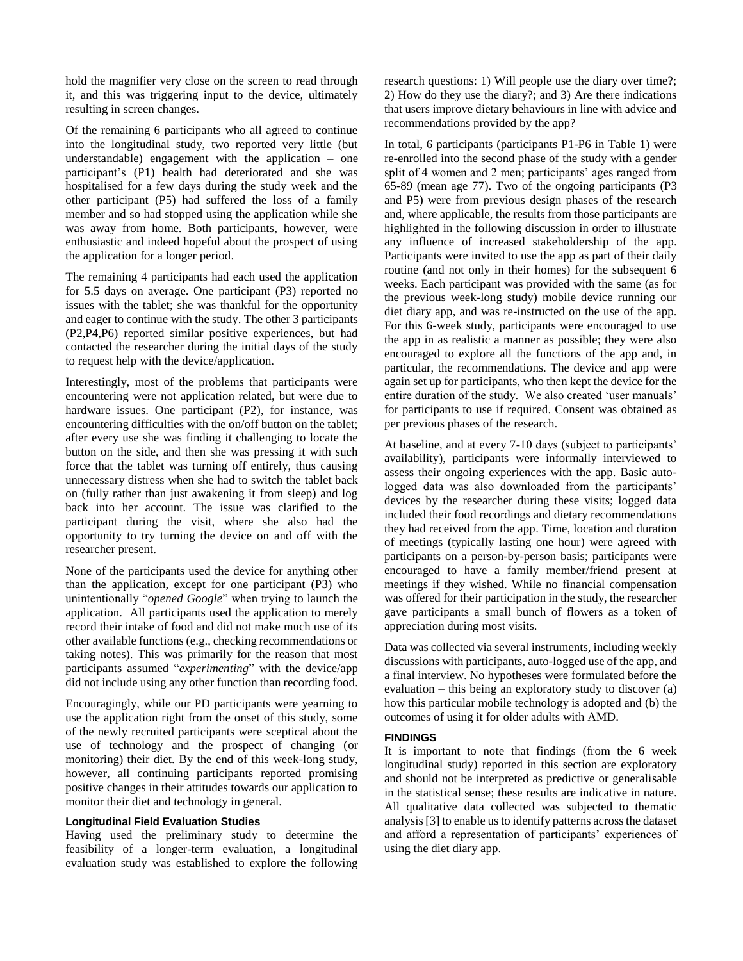hold the magnifier very close on the screen to read through it, and this was triggering input to the device, ultimately resulting in screen changes.

Of the remaining 6 participants who all agreed to continue into the longitudinal study, two reported very little (but understandable) engagement with the application – one participant's (P1) health had deteriorated and she was hospitalised for a few days during the study week and the other participant (P5) had suffered the loss of a family member and so had stopped using the application while she was away from home. Both participants, however, were enthusiastic and indeed hopeful about the prospect of using the application for a longer period.

The remaining 4 participants had each used the application for 5.5 days on average. One participant (P3) reported no issues with the tablet; she was thankful for the opportunity and eager to continue with the study. The other 3 participants (P2,P4,P6) reported similar positive experiences, but had contacted the researcher during the initial days of the study to request help with the device/application.

Interestingly, most of the problems that participants were encountering were not application related, but were due to hardware issues. One participant (P2), for instance, was encountering difficulties with the on/off button on the tablet; after every use she was finding it challenging to locate the button on the side, and then she was pressing it with such force that the tablet was turning off entirely, thus causing unnecessary distress when she had to switch the tablet back on (fully rather than just awakening it from sleep) and log back into her account. The issue was clarified to the participant during the visit, where she also had the opportunity to try turning the device on and off with the researcher present.

None of the participants used the device for anything other than the application, except for one participant (P3) who unintentionally "*opened Google*" when trying to launch the application. All participants used the application to merely record their intake of food and did not make much use of its other available functions (e.g., checking recommendations or taking notes). This was primarily for the reason that most participants assumed "*experimenting*" with the device/app did not include using any other function than recording food.

Encouragingly, while our PD participants were yearning to use the application right from the onset of this study, some of the newly recruited participants were sceptical about the use of technology and the prospect of changing (or monitoring) their diet. By the end of this week-long study, however, all continuing participants reported promising positive changes in their attitudes towards our application to monitor their diet and technology in general.

# **Longitudinal Field Evaluation Studies**

Having used the preliminary study to determine the feasibility of a longer-term evaluation, a longitudinal evaluation study was established to explore the following research questions: 1) Will people use the diary over time?; 2) How do they use the diary?; and 3) Are there indications that users improve dietary behaviours in line with advice and recommendations provided by the app?

In total, 6 participants (participants P1-P6 in Table 1) were re-enrolled into the second phase of the study with a gender split of 4 women and 2 men; participants' ages ranged from 65-89 (mean age 77). Two of the ongoing participants (P3 and P5) were from previous design phases of the research and, where applicable, the results from those participants are highlighted in the following discussion in order to illustrate any influence of increased stakeholdership of the app. Participants were invited to use the app as part of their daily routine (and not only in their homes) for the subsequent 6 weeks. Each participant was provided with the same (as for the previous week-long study) mobile device running our diet diary app, and was re-instructed on the use of the app. For this 6-week study, participants were encouraged to use the app in as realistic a manner as possible; they were also encouraged to explore all the functions of the app and, in particular, the recommendations. The device and app were again set up for participants, who then kept the device for the entire duration of the study. We also created 'user manuals' for participants to use if required. Consent was obtained as per previous phases of the research.

At baseline, and at every 7-10 days (subject to participants' availability), participants were informally interviewed to assess their ongoing experiences with the app. Basic autologged data was also downloaded from the participants' devices by the researcher during these visits; logged data included their food recordings and dietary recommendations they had received from the app. Time, location and duration of meetings (typically lasting one hour) were agreed with participants on a person-by-person basis; participants were encouraged to have a family member/friend present at meetings if they wished. While no financial compensation was offered for their participation in the study, the researcher gave participants a small bunch of flowers as a token of appreciation during most visits.

Data was collected via several instruments, including weekly discussions with participants, auto-logged use of the app, and a final interview. No hypotheses were formulated before the evaluation – this being an exploratory study to discover (a) how this particular mobile technology is adopted and (b) the outcomes of using it for older adults with AMD.

## **FINDINGS**

It is important to note that findings (from the 6 week longitudinal study) reported in this section are exploratory and should not be interpreted as predictive or generalisable in the statistical sense; these results are indicative in nature. All qualitative data collected was subjected to thematic analysis [\[3\]](#page-9-7) to enable us to identify patterns across the dataset and afford a representation of participants' experiences of using the diet diary app.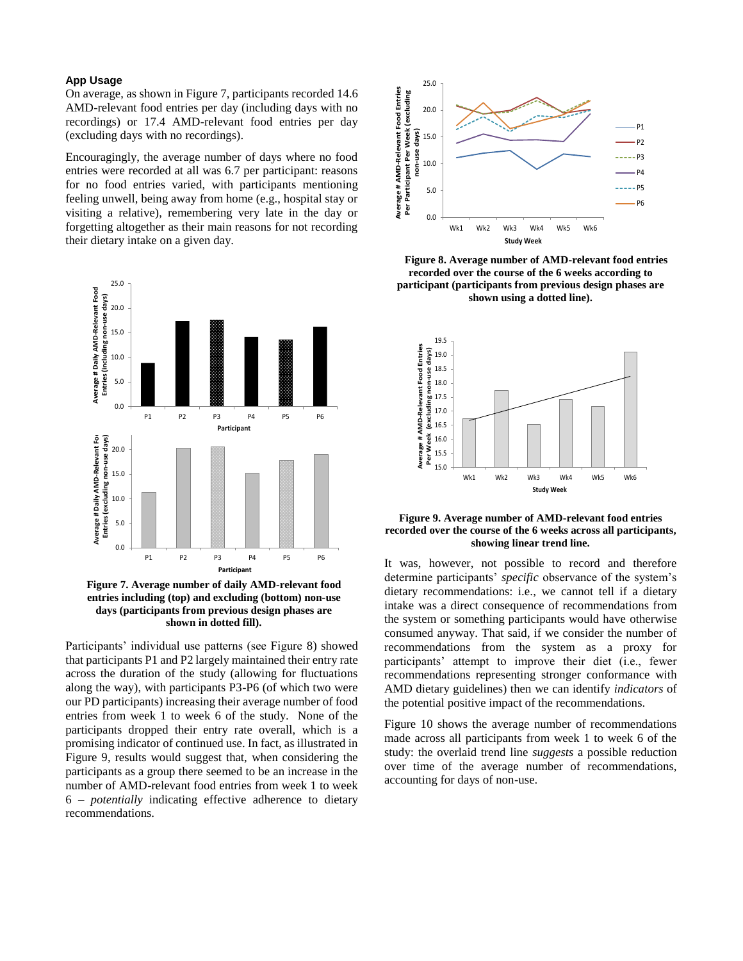#### **App Usage**

On average, as shown in Figure 7, participants recorded 14.6 AMD-relevant food entries per day (including days with no recordings) or 17.4 AMD-relevant food entries per day (excluding days with no recordings).

Encouragingly, the average number of days where no food entries were recorded at all was 6.7 per participant: reasons for no food entries varied, with participants mentioning feeling unwell, being away from home (e.g., hospital stay or visiting a relative), remembering very late in the day or forgetting altogether as their main reasons for not recording their dietary intake on a given day.



**Figure 7. Average number of daily AMD-relevant food entries including (top) and excluding (bottom) non-use days (participants from previous design phases are shown in dotted fill).**

Participants' individual use patterns (see Figure 8) showed that participants P1 and P2 largely maintained their entry rate across the duration of the study (allowing for fluctuations along the way), with participants P3-P6 (of which two were our PD participants) increasing their average number of food entries from week 1 to week 6 of the study. None of the participants dropped their entry rate overall, which is a promising indicator of continued use. In fact, as illustrated in Figure 9, results would suggest that, when considering the participants as a group there seemed to be an increase in the number of AMD-relevant food entries from week 1 to week 6 – *potentially* indicating effective adherence to dietary recommendations.



 **Figure 8. Average number of AMD-relevant food entries recorded over the course of the 6 weeks according to participant (participants from previous design phases are shown using a dotted line).**



#### **Figure 9. Average number of AMD-relevant food entries recorded over the course of the 6 weeks across all participants, showing linear trend line.**

It was, however, not possible to record and therefore determine participants' *specific* observance of the system's dietary recommendations: i.e., we cannot tell if a dietary intake was a direct consequence of recommendations from the system or something participants would have otherwise consumed anyway. That said, if we consider the number of recommendations from the system as a proxy for participants' attempt to improve their diet (i.e., fewer recommendations representing stronger conformance with AMD dietary guidelines) then we can identify *indicators* of the potential positive impact of the recommendations.

Figure 10 shows the average number of recommendations made across all participants from week 1 to week 6 of the study: the overlaid trend line *suggests* a possible reduction over time of the average number of recommendations, accounting for days of non-use.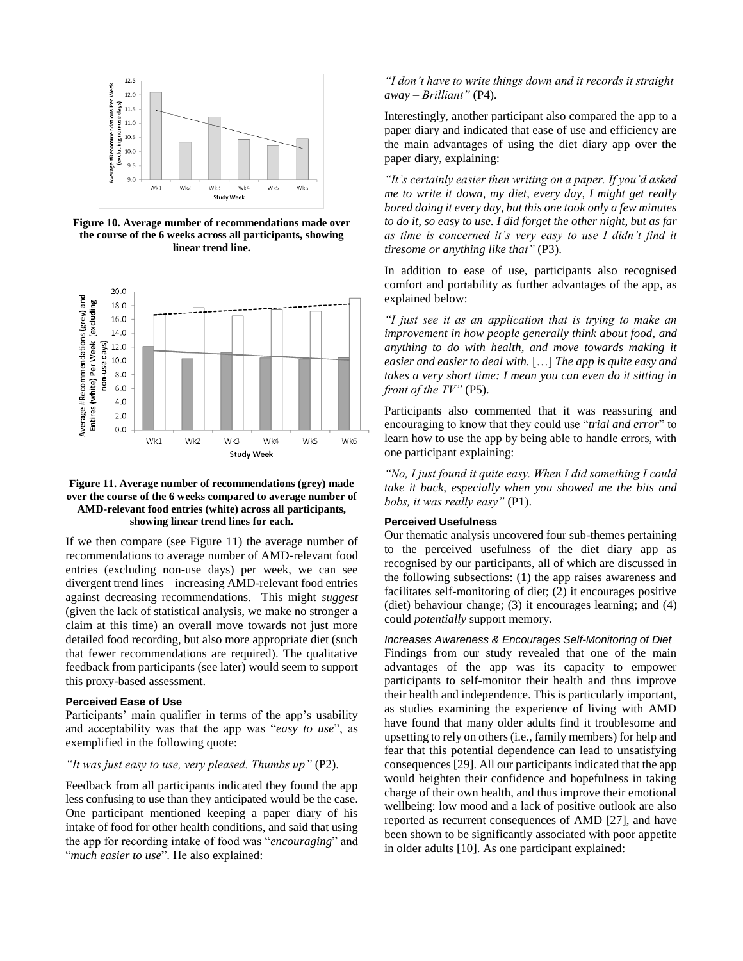

**Figure 10. Average number of recommendations made over the course of the 6 weeks across all participants, showing linear trend line.**



#### **Figure 11. Average number of recommendations (grey) made over the course of the 6 weeks compared to average number of AMD-relevant food entries (white) across all participants, showing linear trend lines for each.**

If we then compare (see Figure 11) the average number of recommendations to average number of AMD-relevant food entries (excluding non-use days) per week, we can see divergent trend lines – increasing AMD-relevant food entries against decreasing recommendations. This might *suggest* (given the lack of statistical analysis, we make no stronger a claim at this time) an overall move towards not just more detailed food recording, but also more appropriate diet (such that fewer recommendations are required). The qualitative feedback from participants (see later) would seem to support this proxy-based assessment.

#### **Perceived Ease of Use**

Participants' main qualifier in terms of the app's usability and acceptability was that the app was "*easy to use*", as exemplified in the following quote:

## *"It was just easy to use, very pleased. Thumbs up"* (P2).

Feedback from all participants indicated they found the app less confusing to use than they anticipated would be the case. One participant mentioned keeping a paper diary of his intake of food for other health conditions, and said that using the app for recording intake of food was "*encouraging*" and "*much easier to use*". He also explained:

*"I don't have to write things down and it records it straight away – Brilliant"* (P4)*.*

Interestingly, another participant also compared the app to a paper diary and indicated that ease of use and efficiency are the main advantages of using the diet diary app over the paper diary, explaining:

*"It's certainly easier then writing on a paper. If you'd asked me to write it down, my diet, every day, I might get really bored doing it every day, but this one took only a few minutes to do it, so easy to use. I did forget the other night, but as far as time is concerned it's very easy to use I didn't find it tiresome or anything like that"* (P3).

In addition to ease of use, participants also recognised comfort and portability as further advantages of the app, as explained below:

*"I just see it as an application that is trying to make an improvement in how people generally think about food, and anything to do with health, and move towards making it easier and easier to deal with.* […] *The app is quite easy and takes a very short time: I mean you can even do it sitting in front of the TV"* (P5).

Participants also commented that it was reassuring and encouraging to know that they could use "*trial and error*" to learn how to use the app by being able to handle errors, with one participant explaining:

*"No, I just found it quite easy. When I did something I could take it back, especially when you showed me the bits and bobs, it was really easy"* (P1).

#### **Perceived Usefulness**

Our thematic analysis uncovered four sub-themes pertaining to the perceived usefulness of the diet diary app as recognised by our participants, all of which are discussed in the following subsections: (1) the app raises awareness and facilitates self-monitoring of diet; (2) it encourages positive (diet) behaviour change; (3) it encourages learning; and (4) could *potentially* support memory.

*Increases Awareness & Encourages Self-Monitoring of Diet* Findings from our study revealed that one of the main advantages of the app was its capacity to empower participants to self-monitor their health and thus improve their health and independence. This is particularly important, as studies examining the experience of living with AMD have found that many older adults find it troublesome and upsetting to rely on others (i.e., family members) for help and fear that this potential dependence can lead to unsatisfying consequences [\[29\]](#page-10-13). All our participants indicated that the app would heighten their confidence and hopefulness in taking charge of their own health, and thus improve their emotional wellbeing: low mood and a lack of positive outlook are also reported as recurrent consequences of AMD [\[27\]](#page-10-14), and have been shown to be significantly associated with poor appetite in older adults [\[10\]](#page-9-8). As one participant explained: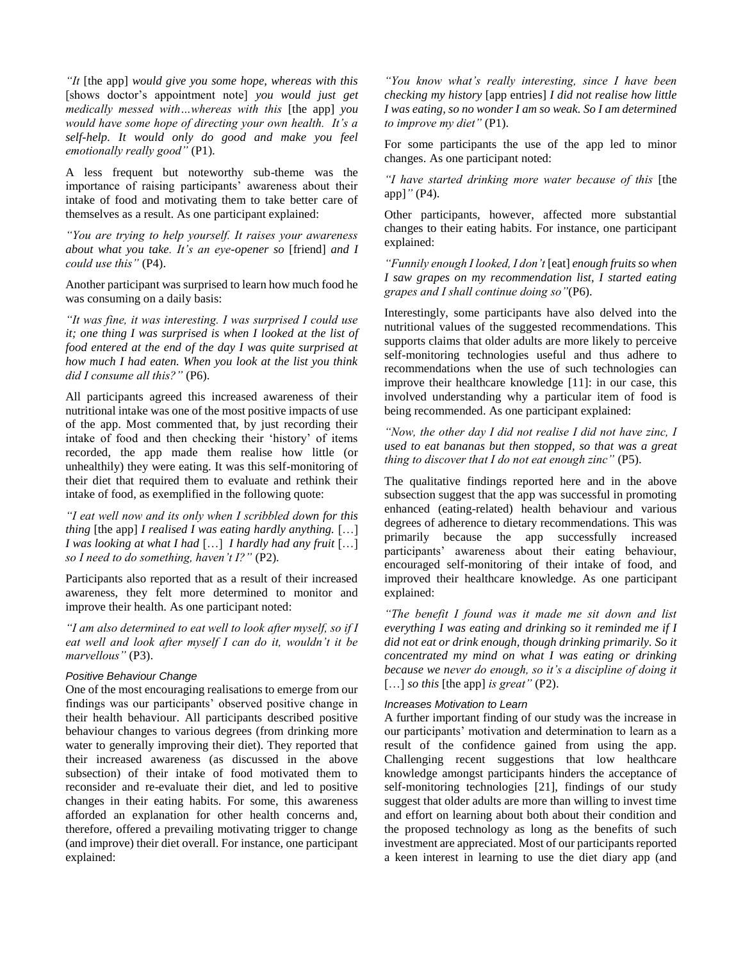*"It* [the app] *would give you some hope, whereas with this*  [shows doctor's appointment note] *you would just get medically messed with…whereas with this* [the app] *you would have some hope of directing your own health. It's a self-help. It would only do good and make you feel emotionally really good"* (P1).

A less frequent but noteworthy sub-theme was the importance of raising participants' awareness about their intake of food and motivating them to take better care of themselves as a result. As one participant explained:

*"You are trying to help yourself. It raises your awareness about what you take. It's an eye-opener so* [friend] *and I could use this"* (P4).

Another participant was surprised to learn how much food he was consuming on a daily basis:

*"It was fine, it was interesting. I was surprised I could use it; one thing I was surprised is when I looked at the list of food entered at the end of the day I was quite surprised at how much I had eaten. When you look at the list you think did I consume all this?"* (P6).

All participants agreed this increased awareness of their nutritional intake was one of the most positive impacts of use of the app. Most commented that, by just recording their intake of food and then checking their 'history' of items recorded, the app made them realise how little (or unhealthily) they were eating. It was this self-monitoring of their diet that required them to evaluate and rethink their intake of food, as exemplified in the following quote:

*"I eat well now and its only when I scribbled down for this thing* [the app] *I realised I was eating hardly anything.* […] *I was looking at what I had* […] *I hardly had any fruit* […] *so I need to do something, haven't I?"* (P2).

Participants also reported that as a result of their increased awareness, they felt more determined to monitor and improve their health. As one participant noted:

*"I am also determined to eat well to look after myself, so if I eat well and look after myself I can do it, wouldn't it be marvellous"* (P3).

#### *Positive Behaviour Change*

One of the most encouraging realisations to emerge from our findings was our participants' observed positive change in their health behaviour. All participants described positive behaviour changes to various degrees (from drinking more water to generally improving their diet). They reported that their increased awareness (as discussed in the above subsection) of their intake of food motivated them to reconsider and re-evaluate their diet, and led to positive changes in their eating habits. For some, this awareness afforded an explanation for other health concerns and, therefore, offered a prevailing motivating trigger to change (and improve) their diet overall. For instance, one participant explained:

*"You know what's really interesting, since I have been checking my history* [app entries] *I did not realise how little I was eating, so no wonder I am so weak. So I am determined to improve my diet"* (P1).

For some participants the use of the app led to minor changes. As one participant noted:

*"I have started drinking more water because of this* [the app]*"* (P4).

Other participants, however, affected more substantial changes to their eating habits. For instance, one participant explained:

*"Funnily enough I looked, I don't* [eat] *enough fruits so when I saw grapes on my recommendation list, I started eating grapes and I shall continue doing so"*(P6).

Interestingly, some participants have also delved into the nutritional values of the suggested recommendations. This supports claims that older adults are more likely to perceive self-monitoring technologies useful and thus adhere to recommendations when the use of such technologies can improve their healthcare knowledge [\[11\]](#page-10-15): in our case, this involved understanding why a particular item of food is being recommended. As one participant explained:

*"Now, the other day I did not realise I did not have zinc, I used to eat bananas but then stopped, so that was a great thing to discover that I do not eat enough zinc"* (P5).

The qualitative findings reported here and in the above subsection suggest that the app was successful in promoting enhanced (eating-related) health behaviour and various degrees of adherence to dietary recommendations. This was primarily because the app successfully increased participants' awareness about their eating behaviour, encouraged self-monitoring of their intake of food, and improved their healthcare knowledge. As one participant explained:

*"The benefit I found was it made me sit down and list everything I was eating and drinking so it reminded me if I did not eat or drink enough, though drinking primarily. So it concentrated my mind on what I was eating or drinking because we never do enough, so it's a discipline of doing it*  […] *so this* [the app] *is great"* (P2).

## *Increases Motivation to Learn*

A further important finding of our study was the increase in our participants' motivation and determination to learn as a result of the confidence gained from using the app. Challenging recent suggestions that low healthcare knowledge amongst participants hinders the acceptance of self-monitoring technologies [\[21\]](#page-10-16), findings of our study suggest that older adults are more than willing to invest time and effort on learning about both about their condition and the proposed technology as long as the benefits of such investment are appreciated. Most of our participants reported a keen interest in learning to use the diet diary app (and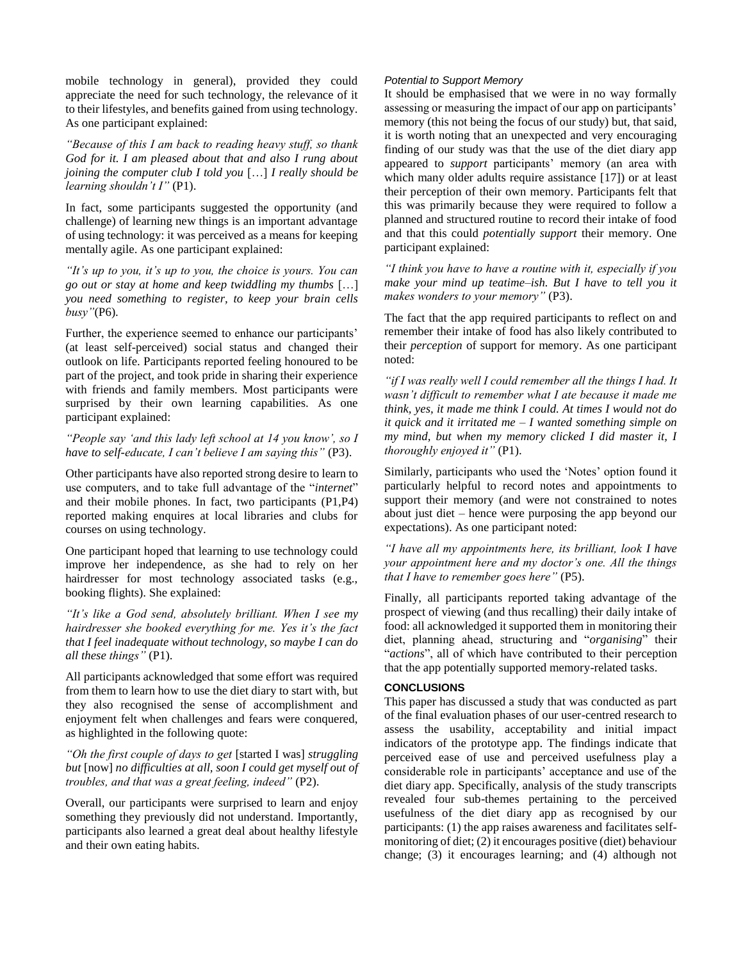mobile technology in general), provided they could appreciate the need for such technology, the relevance of it to their lifestyles, and benefits gained from using technology. As one participant explained:

*"Because of this I am back to reading heavy stuff, so thank God for it. I am pleased about that and also I rung about joining the computer club I told you* […] *I really should be learning shouldn't I"* (P1).

In fact, some participants suggested the opportunity (and challenge) of learning new things is an important advantage of using technology: it was perceived as a means for keeping mentally agile. As one participant explained:

*"It's up to you, it's up to you, the choice is yours. You can go out or stay at home and keep twiddling my thumbs* […] *you need something to register, to keep your brain cells busy"*(P6).

Further, the experience seemed to enhance our participants' (at least self-perceived) social status and changed their outlook on life. Participants reported feeling honoured to be part of the project, and took pride in sharing their experience with friends and family members. Most participants were surprised by their own learning capabilities. As one participant explained:

*"People say 'and this lady left school at 14 you know', so I have to self-educate, I can't believe I am saying this"* (P3).

Other participants have also reported strong desire to learn to use computers, and to take full advantage of the "*internet*" and their mobile phones. In fact, two participants (P1,P4) reported making enquires at local libraries and clubs for courses on using technology.

One participant hoped that learning to use technology could improve her independence, as she had to rely on her hairdresser for most technology associated tasks (e.g., booking flights). She explained:

*"It's like a God send, absolutely brilliant. When I see my hairdresser she booked everything for me. Yes it's the fact that I feel inadequate without technology, so maybe I can do all these things"* (P1).

All participants acknowledged that some effort was required from them to learn how to use the diet diary to start with, but they also recognised the sense of accomplishment and enjoyment felt when challenges and fears were conquered, as highlighted in the following quote:

*"Oh the first couple of days to get* [started I was] *struggling but* [now] *no difficulties at all, soon I could get myself out of troubles, and that was a great feeling, indeed"* (P2).

Overall, our participants were surprised to learn and enjoy something they previously did not understand. Importantly, participants also learned a great deal about healthy lifestyle and their own eating habits.

# *Potential to Support Memory*

It should be emphasised that we were in no way formally assessing or measuring the impact of our app on participants' memory (this not being the focus of our study) but, that said, it is worth noting that an unexpected and very encouraging finding of our study was that the use of the diet diary app appeared to *support* participants' memory (an area with which many older adults require assistance [\[17\]](#page-10-17)) or at least their perception of their own memory. Participants felt that this was primarily because they were required to follow a planned and structured routine to record their intake of food and that this could *potentially support* their memory. One participant explained:

*"I think you have to have a routine with it, especially if you make your mind up teatime–ish. But I have to tell you it makes wonders to your memory"* (P3).

The fact that the app required participants to reflect on and remember their intake of food has also likely contributed to their *perception* of support for memory. As one participant noted:

*"if I was really well I could remember all the things I had. It wasn't difficult to remember what I ate because it made me think, yes, it made me think I could. At times I would not do it quick and it irritated me – I wanted something simple on my mind, but when my memory clicked I did master it, I thoroughly enjoyed it"* (P1).

Similarly, participants who used the 'Notes' option found it particularly helpful to record notes and appointments to support their memory (and were not constrained to notes about just diet – hence were purposing the app beyond our expectations). As one participant noted:

*"I have all my appointments here, its brilliant, look I have your appointment here and my doctor's one. All the things that I have to remember goes here"* (P5).

Finally, all participants reported taking advantage of the prospect of viewing (and thus recalling) their daily intake of food: all acknowledged it supported them in monitoring their diet, planning ahead, structuring and "*organising*" their "*actions*", all of which have contributed to their perception that the app potentially supported memory-related tasks.

# **CONCLUSIONS**

This paper has discussed a study that was conducted as part of the final evaluation phases of our user-centred research to assess the usability, acceptability and initial impact indicators of the prototype app. The findings indicate that perceived ease of use and perceived usefulness play a considerable role in participants' acceptance and use of the diet diary app. Specifically, analysis of the study transcripts revealed four sub-themes pertaining to the perceived usefulness of the diet diary app as recognised by our participants: (1) the app raises awareness and facilitates selfmonitoring of diet; (2) it encourages positive (diet) behaviour change; (3) it encourages learning; and (4) although not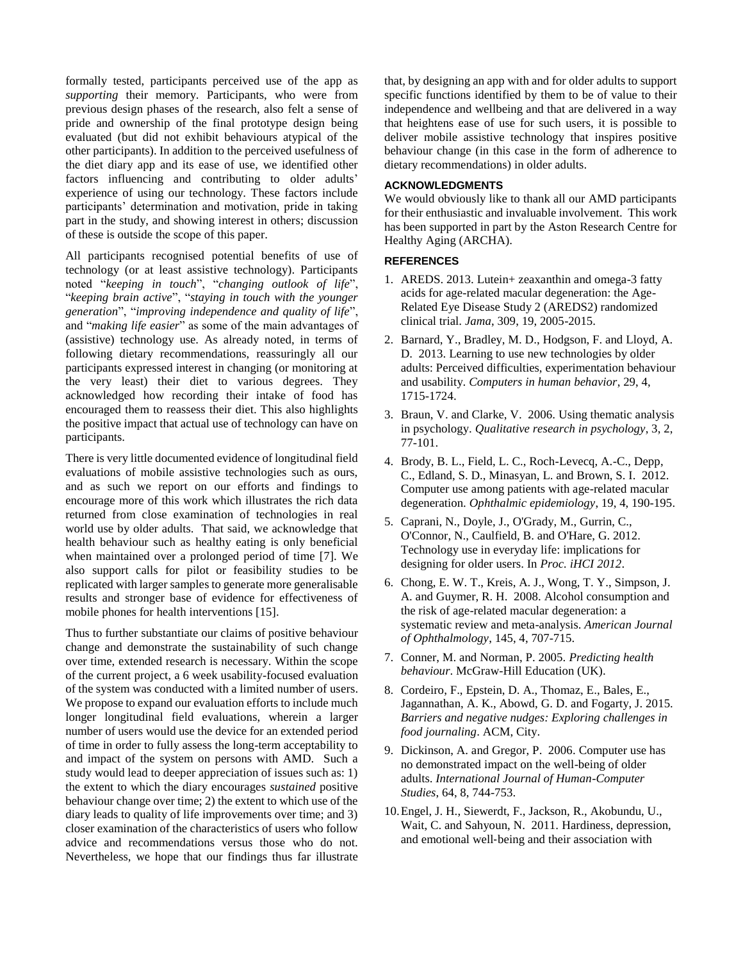formally tested, participants perceived use of the app as *supporting* their memory. Participants, who were from previous design phases of the research, also felt a sense of pride and ownership of the final prototype design being evaluated (but did not exhibit behaviours atypical of the other participants). In addition to the perceived usefulness of the diet diary app and its ease of use, we identified other factors influencing and contributing to older adults' experience of using our technology. These factors include participants' determination and motivation, pride in taking part in the study, and showing interest in others; discussion of these is outside the scope of this paper.

All participants recognised potential benefits of use of technology (or at least assistive technology). Participants noted "*keeping in touch*", "*changing outlook of life*", "*keeping brain active*", "*staying in touch with the younger generation*", "*improving independence and quality of life*", and "*making life easier*" as some of the main advantages of (assistive) technology use. As already noted, in terms of following dietary recommendations, reassuringly all our participants expressed interest in changing (or monitoring at the very least) their diet to various degrees. They acknowledged how recording their intake of food has encouraged them to reassess their diet. This also highlights the positive impact that actual use of technology can have on participants.

There is very little documented evidence of longitudinal field evaluations of mobile assistive technologies such as ours, and as such we report on our efforts and findings to encourage more of this work which illustrates the rich data returned from close examination of technologies in real world use by older adults. That said, we acknowledge that health behaviour such as healthy eating is only beneficial when maintained over a prolonged period of time [\[7\]](#page-9-9). We also support calls for pilot or feasibility studies to be replicated with larger samples to generate more generalisable results and stronger base of evidence for effectiveness of mobile phones for health interventions [\[15\]](#page-10-18).

Thus to further substantiate our claims of positive behaviour change and demonstrate the sustainability of such change over time, extended research is necessary. Within the scope of the current project, a 6 week usability-focused evaluation of the system was conducted with a limited number of users. We propose to expand our evaluation efforts to include much longer longitudinal field evaluations, wherein a larger number of users would use the device for an extended period of time in order to fully assess the long-term acceptability to and impact of the system on persons with AMD. Such a study would lead to deeper appreciation of issues such as: 1) the extent to which the diary encourages *sustained* positive behaviour change over time; 2) the extent to which use of the diary leads to quality of life improvements over time; and 3) closer examination of the characteristics of users who follow advice and recommendations versus those who do not. Nevertheless, we hope that our findings thus far illustrate

that, by designing an app with and for older adults to support specific functions identified by them to be of value to their independence and wellbeing and that are delivered in a way that heightens ease of use for such users, it is possible to deliver mobile assistive technology that inspires positive behaviour change (in this case in the form of adherence to dietary recommendations) in older adults.

## **ACKNOWLEDGMENTS**

We would obviously like to thank all our AMD participants for their enthusiastic and invaluable involvement. This work has been supported in part by the Aston Research Centre for Healthy Aging (ARCHA).

# **REFERENCES**

- <span id="page-9-0"></span>1. AREDS. 2013. Lutein+ zeaxanthin and omega-3 fatty acids for age-related macular degeneration: the Age-Related Eye Disease Study 2 (AREDS2) randomized clinical trial. *Jama*, 309, 19, 2005-2015.
- <span id="page-9-4"></span>2. Barnard, Y., Bradley, M. D., Hodgson, F. and Lloyd, A. D. 2013. Learning to use new technologies by older adults: Perceived difficulties, experimentation behaviour and usability. *Computers in human behavior*, 29, 4, 1715-1724.
- <span id="page-9-7"></span>3. Braun, V. and Clarke, V. 2006. Using thematic analysis in psychology. *Qualitative research in psychology*, 3, 2, 77-101.
- <span id="page-9-5"></span>4. Brody, B. L., Field, L. C., Roch-Levecq, A.-C., Depp, C., Edland, S. D., Minasyan, L. and Brown, S. I. 2012. Computer use among patients with age-related macular degeneration. *Ophthalmic epidemiology*, 19, 4, 190-195.
- <span id="page-9-3"></span>5. Caprani, N., Doyle, J., O'Grady, M., Gurrin, C., O'Connor, N., Caulfield, B. and O'Hare, G. 2012. Technology use in everyday life: implications for designing for older users. In *Proc. iHCI 2012*.
- <span id="page-9-1"></span>6. Chong, E. W. T., Kreis, A. J., Wong, T. Y., Simpson, J. A. and Guymer, R. H. 2008. Alcohol consumption and the risk of age-related macular degeneration: a systematic review and meta-analysis. *American Journal of Ophthalmology*, 145, 4, 707-715.
- <span id="page-9-9"></span>7. Conner, M. and Norman, P. 2005. *Predicting health behaviour*. McGraw-Hill Education (UK).
- <span id="page-9-6"></span>8. Cordeiro, F., Epstein, D. A., Thomaz, E., Bales, E., Jagannathan, A. K., Abowd, G. D. and Fogarty, J. 2015. *Barriers and negative nudges: Exploring challenges in food journaling*. ACM, City.
- <span id="page-9-2"></span>9. Dickinson, A. and Gregor, P. 2006. Computer use has no demonstrated impact on the well-being of older adults. *International Journal of Human-Computer Studies*, 64, 8, 744-753.
- <span id="page-9-8"></span>10.Engel, J. H., Siewerdt, F., Jackson, R., Akobundu, U., Wait, C. and Sahyoun, N. 2011. Hardiness, depression, and emotional well‐being and their association with